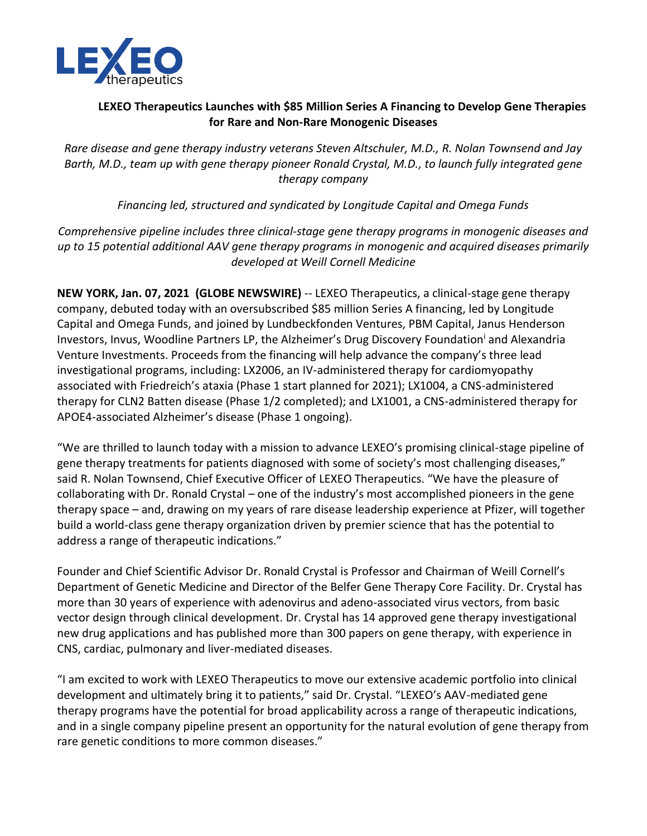

## **LEXEO Therapeutics Launches with \$85 Million Series A Financing to Develop Gene Therapies for Rare and Non-Rare Monogenic Diseases**

*Rare disease and gene therapy industry veterans Steven Altschuler, M.D., R. Nolan Townsend and Jay Barth, M.D., team up with gene therapy pioneer Ronald Crystal, M.D., to launch fully integrated gene therapy company*

*Financing led, structured and syndicated by Longitude Capital and Omega Funds*

*Comprehensive pipeline includes three clinical-stage gene therapy programs in monogenic diseases and up to 15 potential additional AAV gene therapy programs in monogenic and acquired diseases primarily developed at Weill Cornell Medicine*

**NEW YORK, Jan. 07, 2021 (GLOBE NEWSWIRE)** -- LEXEO Therapeutics, a clinical-stage gene therapy company, debuted today with an oversubscribed \$85 million Series A financing, led by Longitude Capital and Omega Funds, and joined by Lundbeckfonden Ventures, PBM Capital, Janus Henderson Investors, Invus, Woodline Partners LP, the Alzheimer's Drug Discovery Foundation<sup>i</sup> and Alexandria Venture Investments. Proceeds from the financing will help advance the company's three lead investigational programs, including: LX2006, an IV-administered therapy for cardiomyopathy associated with Friedreich's ataxia (Phase 1 start planned for 2021); LX1004, a CNS-administered therapy for CLN2 Batten disease (Phase 1/2 completed); and LX1001, a CNS-administered therapy for APOE4-associated Alzheimer's disease (Phase 1 ongoing).

"We are thrilled to launch today with a mission to advance LEXEO's promising clinical-stage pipeline of gene therapy treatments for patients diagnosed with some of society's most challenging diseases," said R. Nolan Townsend, Chief Executive Officer of LEXEO Therapeutics. "We have the pleasure of collaborating with Dr. Ronald Crystal – one of the industry's most accomplished pioneers in the gene therapy space – and, drawing on my years of rare disease leadership experience at Pfizer, will together build a world-class gene therapy organization driven by premier science that has the potential to address a range of therapeutic indications."

Founder and Chief Scientific Advisor Dr. Ronald Crystal is Professor and Chairman of Weill Cornell's Department of Genetic Medicine and Director of the Belfer Gene Therapy Core Facility. Dr. Crystal has more than 30 years of experience with adenovirus and adeno-associated virus vectors, from basic vector design through clinical development. Dr. Crystal has 14 approved gene therapy investigational new drug applications and has published more than 300 papers on gene therapy, with experience in CNS, cardiac, pulmonary and liver-mediated diseases.

"I am excited to work with LEXEO Therapeutics to move our extensive academic portfolio into clinical development and ultimately bring it to patients," said Dr. Crystal. "LEXEO's AAV-mediated gene therapy programs have the potential for broad applicability across a range of therapeutic indications, and in a single company pipeline present an opportunity for the natural evolution of gene therapy from rare genetic conditions to more common diseases."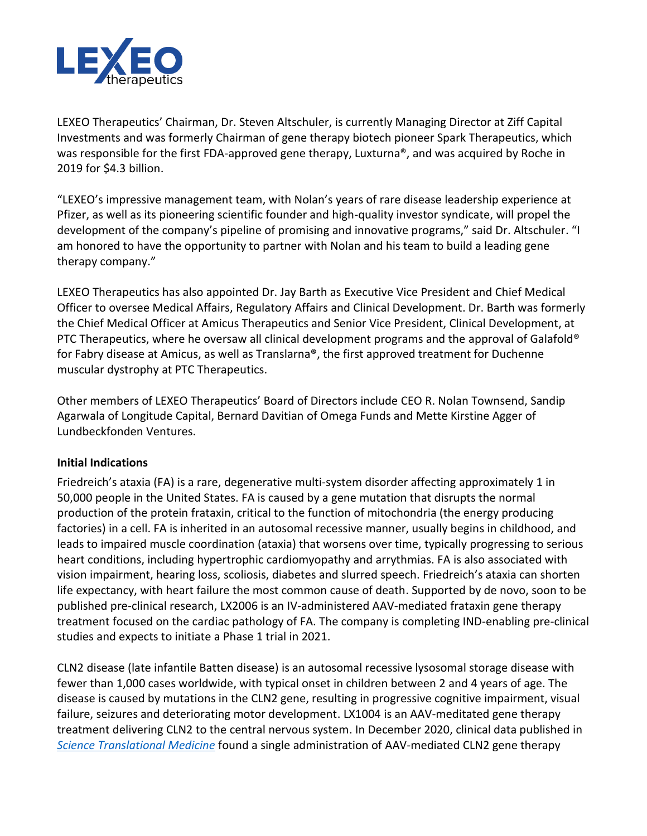

LEXEO Therapeutics' Chairman, Dr. Steven Altschuler, is currently Managing Director at Ziff Capital Investments and was formerly Chairman of gene therapy biotech pioneer Spark Therapeutics, which was responsible for the first FDA-approved gene therapy, Luxturna®, and was acquired by Roche in 2019 for \$4.3 billion.

"LEXEO's impressive management team, with Nolan's years of rare disease leadership experience at Pfizer, as well as its pioneering scientific founder and high-quality investor syndicate, will propel the development of the company's pipeline of promising and innovative programs," said Dr. Altschuler. "I am honored to have the opportunity to partner with Nolan and his team to build a leading gene therapy company."

LEXEO Therapeutics has also appointed Dr. Jay Barth as Executive Vice President and Chief Medical Officer to oversee Medical Affairs, Regulatory Affairs and Clinical Development. Dr. Barth was formerly the Chief Medical Officer at Amicus Therapeutics and Senior Vice President, Clinical Development, at PTC Therapeutics, where he oversaw all clinical development programs and the approval of Galafold® for Fabry disease at Amicus, as well as Translarna®, the first approved treatment for Duchenne muscular dystrophy at PTC Therapeutics.

Other members of LEXEO Therapeutics' Board of Directors include CEO R. Nolan Townsend, Sandip Agarwala of Longitude Capital, Bernard Davitian of Omega Funds and Mette Kirstine Agger of Lundbeckfonden Ventures.

## **Initial Indications**

Friedreich's ataxia (FA) is a rare, degenerative multi-system disorder affecting approximately 1 in 50,000 people in the United States. FA is caused by a gene mutation that disrupts the normal production of the protein frataxin, critical to the function of mitochondria (the energy producing factories) in a cell. FA is inherited in an autosomal recessive manner, usually begins in childhood, and leads to impaired muscle coordination (ataxia) that worsens over time, typically progressing to serious heart conditions, including hypertrophic cardiomyopathy and arrythmias. FA is also associated with vision impairment, hearing loss, scoliosis, diabetes and slurred speech. Friedreich's ataxia can shorten life expectancy, with heart failure the most common cause of death. Supported by de novo, soon to be published pre-clinical research, LX2006 is an IV-administered AAV-mediated frataxin gene therapy treatment focused on the cardiac pathology of FA. The company is completing IND-enabling pre-clinical studies and expects to initiate a Phase 1 trial in 2021.

CLN2 disease (late infantile Batten disease) is an autosomal recessive lysosomal storage disease with fewer than 1,000 cases worldwide, with typical onset in children between 2 and 4 years of age. The disease is caused by mutations in the CLN2 gene, resulting in progressive cognitive impairment, visual failure, seizures and deteriorating motor development. LX1004 is an AAV-meditated gene therapy treatment delivering CLN2 to the central nervous system. In December 2020, clinical data published in *[Science Translational Medicine](https://stm.sciencemag.org/content/12/572/eabb5413)* found a single administration of AAV-mediated CLN2 gene therapy